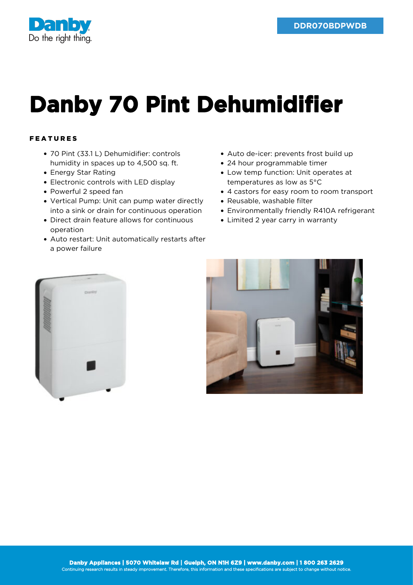

## **Danby 70 Pint Dehumidifier**

## FEATURES

- 70 Pint (33.1 L) Dehumidifier: controls humidity in spaces up to 4,500 sq. ft.
- Energy Star Rating
- Electronic controls with LED display
- Powerful 2 speed fan
- Vertical Pump: Unit can pump water directly into a sink or drain for continuous operation
- Direct drain feature allows for continuous operation
- Auto restart: Unit automatically restarts after a power failure
- Auto de-icer: prevents frost build up
- 24 hour programmable timer
- Low temp function: Unit operates at temperatures as low as 5°C
- 4 castors for easy room to room transport
- Reusable, washable filter
- Environmentally friendly R410A refrigerant
- Limited 2 year carry in warranty